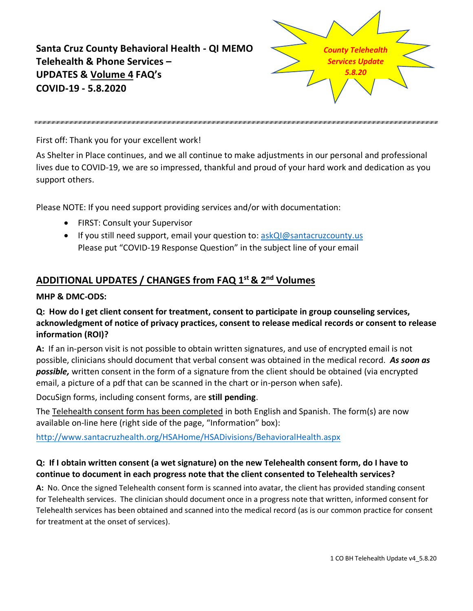**Santa Cruz County Behavioral Health - QI MEMO Telehealth & Phone Services – UPDATES & Volume 4 FAQ's COVID-19 - 5.8.2020** *County Telehealth Services Update 5.8.20*

First off: Thank you for your excellent work!

As Shelter in Place continues, and we all continue to make adjustments in our personal and professional lives due to COVID-19, we are so impressed, thankful and proud of your hard work and dedication as you support others.

Please NOTE: If you need support providing services and/or with documentation:

- FIRST: Consult your Supervisor
- If you still need support, email your question to: askQl@santacruzcounty.us Please put "COVID-19 Response Question" in the subject line of your email

# **ADDITIONAL UPDATES / CHANGES from FAQ 1st & 2nd Volumes**

#### **MHP & DMC-ODS:**

#### **Q: How do I get client consent for treatment, consent to participate in group counseling services, acknowledgment of notice of privacy practices, consent to release medical records or consent to release information (ROI)?**

**A:** If an in-person visit is not possible to obtain written signatures, and use of encrypted email is not possible, clinicians should document that verbal consent was obtained in the medical record. *As soon as possible,* written consent in the form of a signature from the client should be obtained (via encrypted email, a picture of a pdf that can be scanned in the chart or in-person when safe).

DocuSign forms, including consent forms, are **still pending**.

The Telehealth consent form has been completed in both English and Spanish. The form(s) are now available on-line here (right side of the page, "Information" box):

<http://www.santacruzhealth.org/HSAHome/HSADivisions/BehavioralHealth.aspx>

## **Q: If I obtain written consent (a wet signature) on the new Telehealth consent form, do I have to continue to document in each progress note that the client consented to Telehealth services?**

**A:** No. Once the signed Telehealth consent form is scanned into avatar, the client has provided standing consent for Telehealth services. The clinician should document once in a progress note that written, informed consent for Telehealth services has been obtained and scanned into the medical record (as is our common practice for consent for treatment at the onset of services).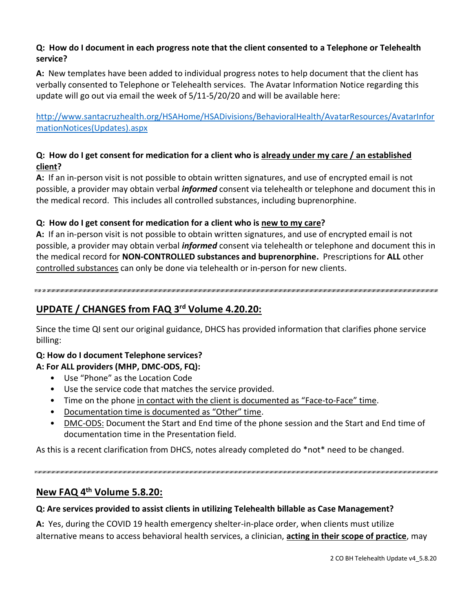## **Q: How do I document in each progress note that the client consented to a Telephone or Telehealth service?**

**A:** New templates have been added to individual progress notes to help document that the client has verbally consented to Telephone or Telehealth services. The Avatar Information Notice regarding this update will go out via email the week of 5/11-5/20/20 and will be available here:

[http://www.santacruzhealth.org/HSAHome/HSADivisions/BehavioralHealth/AvatarResources/AvatarInfor](http://www.santacruzhealth.org/HSAHome/HSADivisions/BehavioralHealth/AvatarResources/AvatarInformationNotices(Updates).aspx) [mationNotices\(Updates\).aspx](http://www.santacruzhealth.org/HSAHome/HSADivisions/BehavioralHealth/AvatarResources/AvatarInformationNotices(Updates).aspx)

## **Q: How do I get consent for medication for a client who is already under my care / an established client?**

**A:** If an in-person visit is not possible to obtain written signatures, and use of encrypted email is not possible, a provider may obtain verbal *informed* consent via telehealth or telephone and document this in the medical record. This includes all controlled substances, including buprenorphine.

## **Q: How do I get consent for medication for a client who is new to my care?**

**A:** If an in-person visit is not possible to obtain written signatures, and use of encrypted email is not possible, a provider may obtain verbal *informed* consent via telehealth or telephone and document this in the medical record for **NON-CONTROLLED substances and buprenorphine.** Prescriptions for **ALL** other controlled substances can only be done via telehealth or in-person for new clients.

# **UPDATE / CHANGES from FAQ 3rd Volume 4.20.20:**

Since the time QI sent our original guidance, DHCS has provided information that clarifies phone service billing:

#### **Q: How do I document Telephone services?**

#### **A: For ALL providers (MHP, DMC-ODS, FQ):**

- Use "Phone" as the Location Code
- Use the service code that matches the service provided.
- Time on the phone in contact with the client is documented as "Face-to-Face" time.
- Documentation time is documented as "Other" time.
- DMC-ODS: Document the Start and End time of the phone session and the Start and End time of documentation time in the Presentation field.

As this is a recent clarification from DHCS, notes already completed do \*not\* need to be changed.

# **New FAQ 4th Volume 5.8.20:**

# **Q: Are services provided to assist clients in utilizing Telehealth billable as Case Management?**

**A:** Yes, during the COVID 19 health emergency shelter-in-place order, when clients must utilize alternative means to access behavioral health services, a clinician, **acting in their scope of practice**, may